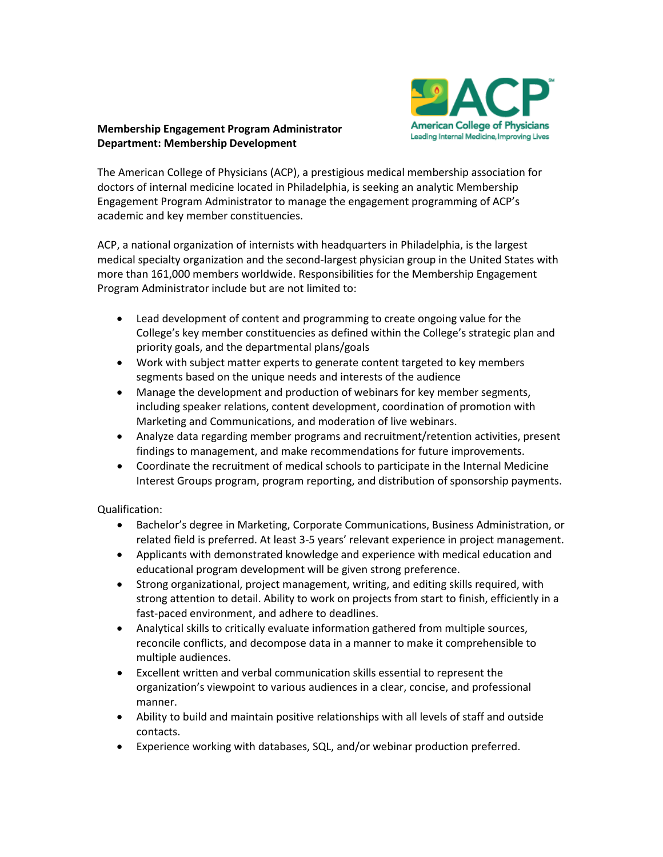

## **Membership Engagement Program Administrator Department: Membership Development**

The American College of Physicians (ACP), a prestigious medical membership association for doctors of internal medicine located in Philadelphia, is seeking an analytic Membership Engagement Program Administrator to manage the engagement programming of ACP's academic and key member constituencies.

ACP, a national organization of internists with headquarters in Philadelphia, is the largest medical specialty organization and the second-largest physician group in the United States with more than 161,000 members worldwide. Responsibilities for the Membership Engagement Program Administrator include but are not limited to:

- Lead development of content and programming to create ongoing value for the College's key member constituencies as defined within the College's strategic plan and priority goals, and the departmental plans/goals
- Work with subject matter experts to generate content targeted to key members segments based on the unique needs and interests of the audience
- Manage the development and production of webinars for key member segments, including speaker relations, content development, coordination of promotion with Marketing and Communications, and moderation of live webinars.
- Analyze data regarding member programs and recruitment/retention activities, present findings to management, and make recommendations for future improvements.
- Coordinate the recruitment of medical schools to participate in the Internal Medicine Interest Groups program, program reporting, and distribution of sponsorship payments.

Qualification:

- Bachelor's degree in Marketing, Corporate Communications, Business Administration, or related field is preferred. At least 3-5 years' relevant experience in project management.
- Applicants with demonstrated knowledge and experience with medical education and educational program development will be given strong preference.
- Strong organizational, project management, writing, and editing skills required, with strong attention to detail. Ability to work on projects from start to finish, efficiently in a fast-paced environment, and adhere to deadlines.
- Analytical skills to critically evaluate information gathered from multiple sources, reconcile conflicts, and decompose data in a manner to make it comprehensible to multiple audiences.
- Excellent written and verbal communication skills essential to represent the organization's viewpoint to various audiences in a clear, concise, and professional manner.
- Ability to build and maintain positive relationships with all levels of staff and outside contacts.
- Experience working with databases, SQL, and/or webinar production preferred.